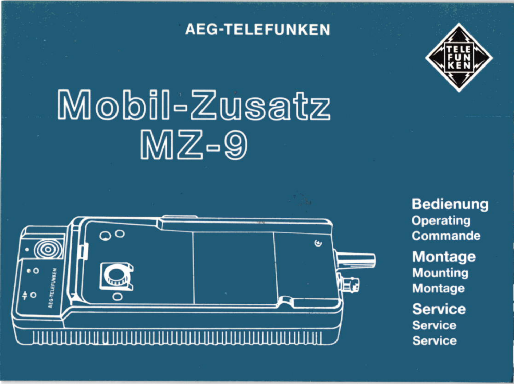### **AEG-TELEFUNKEN**



# Mobil-Zusatz  $MZ-9$



**Bedienung Operating** Commande **Montage Mounting Montage Service Service Service**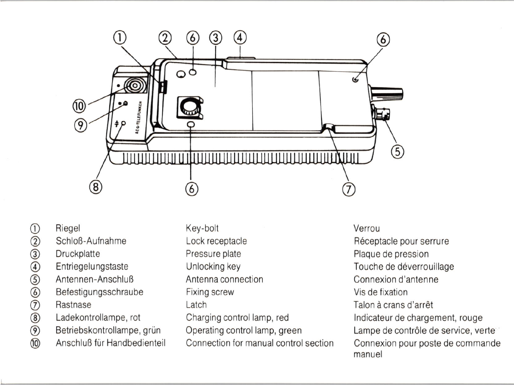

- Riegel
- Schloß-Aufnahme
- Druckplatte
- Entriegelungstaste
- Antennen-Anschluß
- Befestigungsschraube
- Rastnase
- 00000000 Ladekontrollampe, rot
- Betriebskontrollampe, grün
- $(0)$ Anschluß für Handbedienteil

Key-bolt Lock receptacle Pressure plate Unlocking key Antenna connection Fixing screw Latch Charging control lamp, red Operating control lamp, green Connection for manual control section Verrou Réceptacle pour serrure Plaque de pression Touche de déverrouillage Connexion d'antenne Vis de fixation Talon à crans d'arrêt Indicateur de chargement, rouge Lampe de contrôle de service, verte Connexion pour poste de commande manuel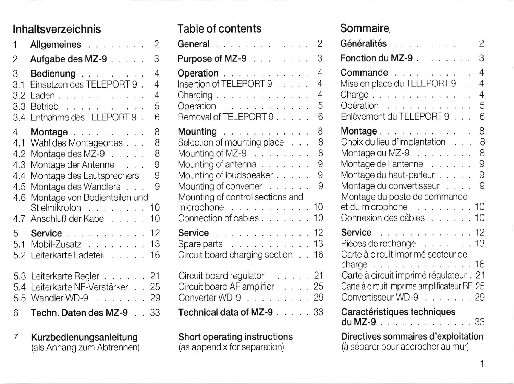### Inhaltsverzeichnis

| 1                             | 2<br>Allgemeines                                                                                                |
|-------------------------------|-----------------------------------------------------------------------------------------------------------------|
| $\overline{2}$                | 3<br>Aufgabe des MZ-9 $\ldots$ .                                                                                |
| 3<br>3.1<br>3.2<br>3.3<br>3.4 | 4<br>Bedienung<br>Einsetzen des TELEPORT 9.<br>4<br>4<br>Laden<br>5<br>Betrieb<br>Entnahme des TELEPORT 9.<br>6 |
| $\overline{4}$<br>4.1<br>4.2  | 8<br>Montage<br>8<br>Wahl des Montageortes<br>8<br>Montage des $MZ-9$                                           |
| 4.3<br>4.4                    | 9<br>Montage der Antenne<br>9<br>Montage des Lautsprechers                                                      |
| 4.5<br>4.6                    | Montage des Wandlers<br>9<br>Montage von Bedienteilen und                                                       |
|                               | Stielmikrofon 10<br>4.7 Anschluß der Kabel<br>10                                                                |
| 5<br>5.1                      | 12<br>Service<br>Mobil-Zusatz 13<br>5.2 Leiterkarte Ladeteil<br>16                                              |
|                               | 5.3 Leiterkarte Regler 21<br>5.4 Leiterkarte NF-Verstärker 25<br>5.5 Wandler WD-9 29                            |
| 6                             | Techn. Daten des MZ-9.<br>33                                                                                    |

Kurzbedienungsanleitung<br>(als Anhang zum Abtrennen)  $\overline{7}$ 

### Table of contents

| General                                            | $\overline{c}$ |
|----------------------------------------------------|----------------|
| Purpose of MZ-9                                    | 3              |
| Operation<br>Insertion of TELEPORT 9               | 4              |
|                                                    | 4              |
| Charging $\ldots$ , $\ldots$ , $\ldots$ , $\ldots$ | 4              |
| Operation<br>Removal of TELEPORT 9                 | 5              |
|                                                    | 6              |
| Mounting                                           | 8              |
| Selection of mounting place                        | 8              |
| Mounting of MZ-9 $\ldots$ ,                        | 8              |
| Mounting of antenna                                | 9              |
| Mounting of loudspeaker                            | 9              |
| Mounting of converter                              | 9              |
| Mounting of control sections and                   |                |
| microphone                                         | 10             |
| Connection of cables                               | 10             |
| Service                                            | 12             |
| Spare parts                                        | 13             |
| Circuit board charging section                     | 16             |
|                                                    |                |
| Circuit board regulator 21                         |                |
| Circuit board AF amplifier 25                      |                |
| Converter WD-9                                     | 29             |
| Technical data of MZ-9                             | 33             |

## Short operating instructions<br>(as appendix for separation)

### **Sommaire**

| Généralités<br>2                                                                                                                                                                              |                                       |
|-----------------------------------------------------------------------------------------------------------------------------------------------------------------------------------------------|---------------------------------------|
| Fonction du MZ-9                                                                                                                                                                              | 3                                     |
| Commande<br>Mise en place du TELEPORT 9<br>Charge<br>Opération<br>Enlèvement du TELEPORT 9                                                                                                    | 4<br>4<br>4<br>5<br>6                 |
| Montage<br>Choix du lieu d'implantation<br>Montage du MZ-9 $\ldots$ , $\ldots$<br>Montage de l'antenne<br>Montage du haut-parleur<br>Montage du convertisseur<br>Montage du poste de commande | 8<br>8<br>8<br>9<br>9<br>$\mathbf{Q}$ |
| $et$ du microphone $\ldots \ldots \ldots 10$<br>Connexion des câbles 10                                                                                                                       |                                       |
| <b>Service</b> 12<br>Pièces de rechange 13<br>Carte à circuit imprimé secteur de                                                                                                              |                                       |
| charge<br>Carte à circuit imprimé régulateur. 21<br>Carte à circuit imprime amplificateur BF 25<br>Convertisseur WD-9 29                                                                      |                                       |
| Caractéristiques techniques<br><b>du MZ-9</b> 33                                                                                                                                              |                                       |
| Directives sommaires d'exploitation<br>(à séparer pour accrocher au mur)                                                                                                                      |                                       |

 $\mathbf{1}$